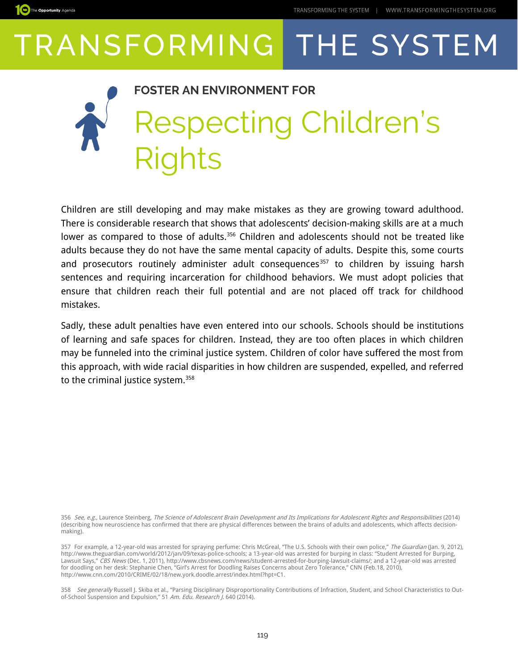The Opportunity Agenda

### **FOSTER AN ENVIRONMENT FOR** Respecting Children's ahts

Children are still developing and may make mistakes as they are growing toward adulthood. There is considerable research that shows that adolescents' decision-making skills are at a much lower as compared to those of adults.<sup>[356](#page-0-0)</sup> Children and adolescents should not be treated like adults because they do not have the same mental capacity of adults. Despite this, some courts and prosecutors routinely administer adult consequences<sup>[357](#page-0-1)</sup> to children by issuing harsh sentences and requiring incarceration for childhood behaviors. We must adopt policies that ensure that children reach their full potential and are not placed off track for childhood mistakes.

Sadly, these adult penalties have even entered into our schools. Schools should be institutions of learning and safe spaces for children. Instead, they are too often places in which children may be funneled into the criminal justice system. Children of color have suffered the most from this approach, with wide racial disparities in how children are suspended, expelled, and referred to the criminal justice system.<sup>[358](#page-0-2)</sup>

<span id="page-0-0"></span>356 See, e.g., Laurence Steinberg, The Science of Adolescent Brain Development and Its Implications for Adolescent Rights and Responsibilities (2014) (describing how neuroscience has confirmed that there are physical differences between the brains of adults and adolescents, which affects decisionmaking).

<span id="page-0-1"></span>357 For example, a 12-year-old was arrested for spraying perfume: Chris McGreal, "The U.S. Schools with their own police," The Guardian (Jan. 9, 2012), http://www.theguardian.com/world/2012/jan/09/texas-police-schools; a 13-year-old was arrested for burping in class: "Student Arrested for Burping, Lawsuit Says," CBS News (Dec. 1, 2011), http://www.cbsnews.com/news/student-arrested-for-burping-lawsuit-claims/; and a 12-year-old was arrested for doodling on her desk: Stephanie Chen, "Girl's Arrest for Doodling Raises Concerns about Zero Tolerance," CNN (Feb.18, 2010), http://www.cnn.com/2010/CRIME/02/18/new.york.doodle.arrest/index.html?hpt=C1.

<span id="page-0-2"></span>358 See generally Russell J. Skiba et al., "Parsing Disciplinary Disproportionality Contributions of Infraction, Student, and School Characteristics to Outof-School Suspension and Expulsion," 51 Am. Edu. Research J. 640 (2014).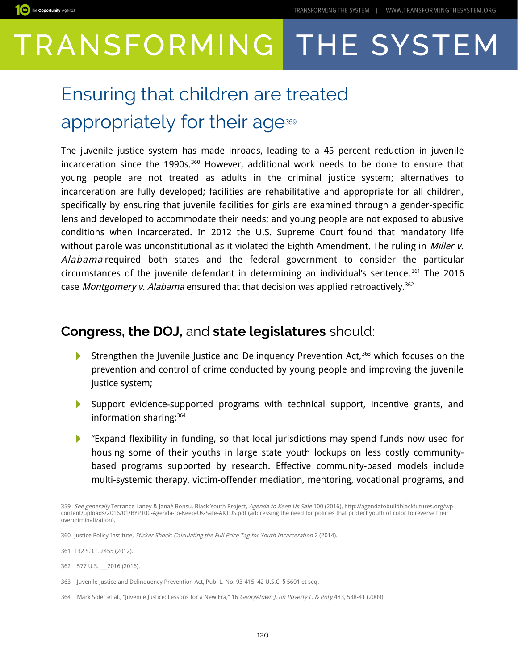

### Ensuring that children are treated appropriately for their age<sup>[359](#page-1-0)</sup>

The juvenile justice system has made inroads, leading to a 45 percent reduction in juvenile incarceration since the 1990s. $360$  However, additional work needs to be done to ensure that young people are not treated as adults in the criminal justice system; alternatives to incarceration are fully developed; facilities are rehabilitative and appropriate for all children, specifically by ensuring that juvenile facilities for girls are examined through a gender-specific lens and developed to accommodate their needs; and young people are not exposed to abusive conditions when incarcerated. In 2012 the U.S. Supreme Court found that mandatory life without parole was unconstitutional as it violated the Eighth Amendment. The ruling in Miller v. Alabama required both states and the federal government to consider the particular circumstances of the juvenile defendant in determining an individual's sentence. [361](#page-1-2) The 2016 case Montgomery v. Alabama ensured that that decision was applied retroactively.<sup>[362](#page-1-3)</sup>

#### **Congress, the DOJ,** and **state legislatures** should:

- $\blacktriangleright$ Strengthen the Juvenile Justice and Delinquency Prevention Act,<sup>[363](#page-1-4)</sup> which focuses on the prevention and control of crime conducted by young people and improving the juvenile justice system;
- Support evidence-supported programs with technical support, incentive grants, and information sharing;<sup>[364](#page-1-5)</sup>
- "Expand flexibility in funding, so that local jurisdictions may spend funds now used for housing some of their youths in large state youth lockups on less costly communitybased programs supported by research. Effective community-based models include multi-systemic therapy, victim-offender mediation, mentoring, vocational programs, and

<span id="page-1-3"></span>362 577 U.S. \_\_\_2016 (2016).

<span id="page-1-5"></span>364 Mark Soler et al., "Juvenile Justice: Lessons for a New Era," 16 Georgetown J. on Poverty L. & Pol'y 483, 538-41 (2009).

<span id="page-1-0"></span><sup>359</sup> See generally Terrance Laney & Janaé Bonsu, Black Youth Project, Agenda to Keep Us Safe 100 (2016), http://agendatobuildblackfutures.org/wpcontent/uploads/2016/01/BYP100-Agenda-to-Keep-Us-Safe-AKTUS.pdf (addressing the need for policies that protect youth of color to reverse their overcriminalization).

<span id="page-1-1"></span><sup>360</sup> Justice Policy Institute, Sticker Shock: Calculating the Full Price Tag for Youth Incarceration 2 (2014).

<span id="page-1-2"></span><sup>361</sup> 132 S. Ct. 2455 (2012).

<span id="page-1-4"></span><sup>363</sup> Juvenile Justice and Delinquency Prevention Act, Pub. L. No. 93-415, 42 U.S.C. § 5601 et seq.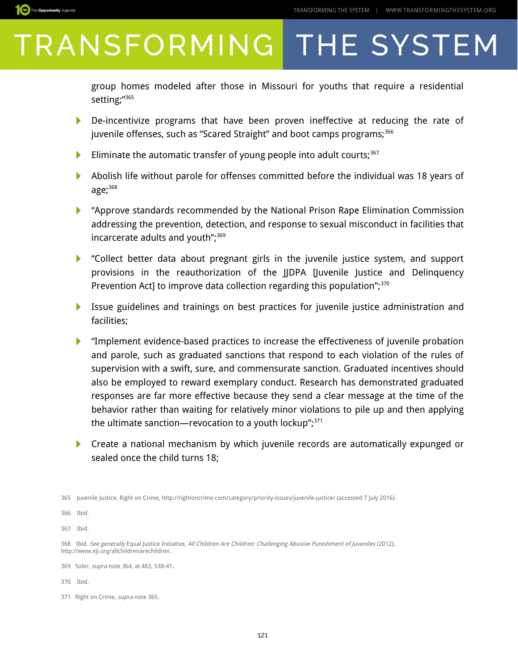group homes modeled after those in Missouri for youths that require a residential setting;"[365](#page-2-0)

- De-incentivize programs that have been proven ineffective at reducing the rate of juvenile offenses, such as "Scared Straight" and boot camps programs;<sup>[366](#page-2-1)</sup>
- Eliminate the automatic transfer of young people into adult courts; $367$ N
- N Abolish life without parole for offenses committed before the individual was 18 years of age;[368](#page-2-3)
- "Approve standards recommended by the National Prison Rape Elimination Commission addressing the prevention, detection, and response to sexual misconduct in facilities that incarcerate adults and youth";<sup>[369](#page-2-4)</sup>
- "Collect better data about pregnant girls in the juvenile justice system, and support provisions in the reauthorization of the JJDPA [Juvenile Justice and Delinquency Prevention Act] to improve data collection regarding this population", $370$
- Issue guidelines and trainings on best practices for juvenile justice administration and facilities;
- **THE** "Implement evidence-based practices to increase the effectiveness of juvenile probation and parole, such as graduated sanctions that respond to each violation of the rules of supervision with a swift, sure, and commensurate sanction. Graduated incentives should also be employed to reward exemplary conduct. Research has demonstrated graduated responses are far more effective because they send a clear message at the time of the behavior rather than waiting for relatively minor violations to pile up and then applying the ultimate sanction—revocation to a youth lockup", $371$
- **Create a national mechanism by which juvenile records are automatically expunged or** sealed once the child turns 18;

<span id="page-2-0"></span>365 Juvenile Justice, Right on Crime, http://rightoncrime.com/category/priority-issues/juvenile-justice/ (accessed 7 July 2016).

<span id="page-2-1"></span>366 Ibid.

<span id="page-2-2"></span>367 Ibid.

<span id="page-2-3"></span>368 Ibid. See generally Equal Justice Initiative, All Children Are Children: Challenging Abusive Punishment of Juveniles (2012), http://www.eji.org/allchildrenarechildren.

<span id="page-2-4"></span>369 Soler, supra note 364, at 483, 538-41**.**

<span id="page-2-5"></span>370 Ibid.

<span id="page-2-6"></span>371 Right on Crime, *supra* note 365.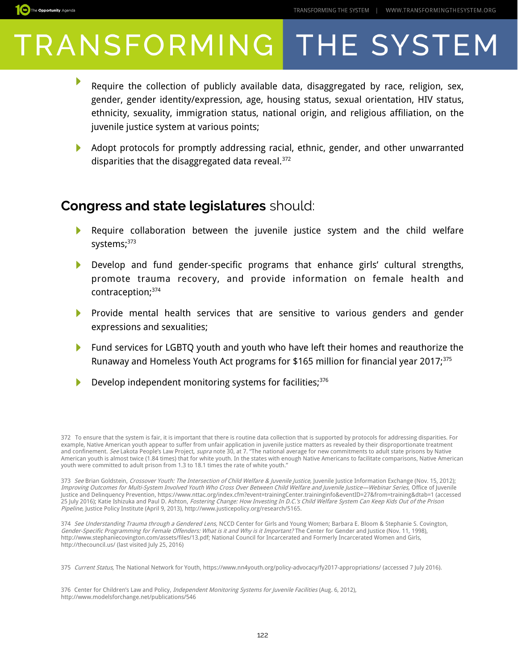

- Require the collection of publicly available data, disaggregated by race, religion, sex, gender, gender identity/expression, age, housing status, sexual orientation, HIV status, ethnicity, sexuality, immigration status, national origin, and religious affiliation, on the juvenile justice system at various points;
- Adopt protocols for promptly addressing racial, ethnic, gender, and other unwarranted disparities that the disaggregated data reveal.<sup>[372](#page-3-0)</sup>

#### **Congress and state legislatures** should:

- Require collaboration between the juvenile justice system and the child welfare systems;<sup>[373](#page-3-1)</sup>
- Develop and fund gender-specific programs that enhance girls' cultural strengths, promote trauma recovery, and provide information on female health and contraception;[374](#page-3-2)
- Provide mental health services that are sensitive to various genders and gender expressions and sexualities;
- **Fund services for LGBTQ youth and youth who have left their homes and reauthorize the** Runaway and Homeless Youth Act programs for \$165 million for financial year 2017;<sup>[375](#page-3-3)</sup>
- Develop independent monitoring systems for facilities;<sup>[376](#page-3-4)</sup>

<span id="page-3-3"></span>375 Current Status, The National Network for Youth,<https://www.nn4youth.org/policy-advocacy/fy2017-appropriations/>(accessed 7 July 2016).

<span id="page-3-4"></span>376 Center for Children's Law and Policy, *Independent Monitoring Systems for Juvenile Facilities* (Aug. 6, 2012), http://www.modelsforchange.net/publications/546

<span id="page-3-0"></span><sup>372</sup> To ensure that the system is fair, it is important that there is routine data collection that is supported by protocols for addressing disparities. For example, Native American youth appear to suffer from unfair application in juvenile justice matters as revealed by their disproportionate treatment and confinement. *See* Lakota People's Law Project, *supra* note 30, at 7. "The national average for new commitments to adult state prisons by Native<br>American youth is almost twice (1.84 times) that for white youth. In the youth were committed to adult prison from 1.3 to 18.1 times the rate of white youth."

<span id="page-3-1"></span><sup>373</sup> See Brian Goldstein, Crossover Youth: The Intersection of Child Welfare & Juvenile Justice, Juvenile Justice Information Exchange (Nov. 15, 2012); Improving Outcomes for Multi-System Involved Youth Who Cross Over Between Child Welfare and Juvenile Justice—Webinar Series, Office of Juvenile Justice and Delinquency Prevention, https://www.nttac.org/index.cfm?event=trainingCenter.traininginfo&eventID=27&from=training&dtab=1 (accessed 25 July 2016); Katie Ishizuka and Paul D. Ashton, Fostering Change: How Investing In D.C.'s Child Welfare System Can Keep Kids Out of the Prison Pipeline, Justice Policy Institute (April 9, 2013), http://www.justicepolicy.org/research/5165.

<span id="page-3-2"></span><sup>374</sup> See Understanding Trauma through a Gendered Lens, NCCD Center for Girls and Young Women; Barbara E. Bloom & Stephanie S. Covington, Gender-Specific Programming for Female Offenders: What is it and Why is it Important? The Center for Gender and Justice (Nov. 11, 1998), http://www.stephaniecovington.com/assets/files/13.pdf; National Council for Incarcerated and Formerly Incarcerated Women and Girls, http://thecouncil.us/ (last visited July 25, 2016)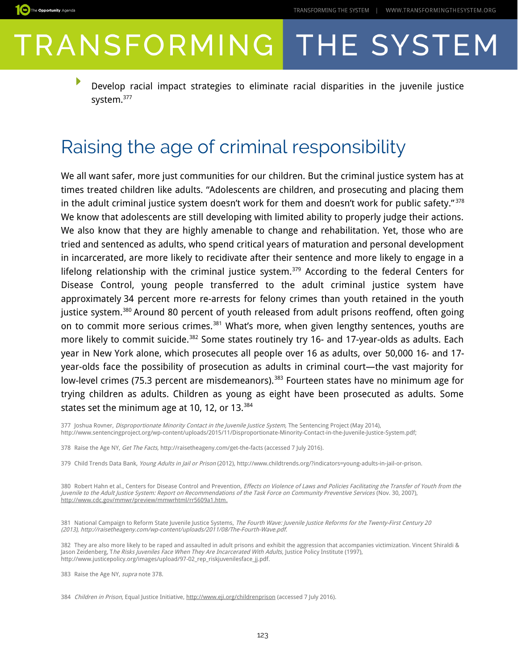

Develop racial impact strategies to eliminate racial disparities in the juvenile justice system.[377](#page-4-0)

#### Raising the age of criminal responsibility

We all want safer, more just communities for our children. But the criminal justice system has at times treated children like adults. "Adolescents are children, and prosecuting and placing them in the adult criminal justice system doesn't work for them and doesn't work for public safety."<sup>[378](#page-4-1)</sup> We know that adolescents are still developing with limited ability to properly judge their actions. We also know that they are highly amenable to change and rehabilitation. Yet, those who are tried and sentenced as adults, who spend critical years of maturation and personal development in incarcerated, are more likely to recidivate after their sentence and more likely to engage in a lifelong relationship with the criminal justice system.<sup>[379](#page-4-2)</sup> According to the federal Centers for Disease Control, young people transferred to the adult criminal justice system have approximately 34 percent more re-arrests for felony crimes than youth retained in the youth justice system.<sup>[380](#page-4-3)</sup> Around 80 percent of youth released from adult prisons reoffend, often going on to commit more serious crimes.<sup>[381](#page-4-4)</sup> What's more, when given lengthy sentences, youths are more likely to commit suicide.<sup>[382](#page-4-5)</sup> Some states routinely try 16- and 17-year-olds as adults. Each year in New York alone, which prosecutes all people over 16 as adults, over 50,000 16- and 17 year-olds face the possibility of prosecution as adults in criminal court—the vast majority for low-level crimes (75.3 percent are misdemeanors).<sup>[383](#page-4-6)</sup> Fourteen states have no minimum age for trying children as adults. Children as young as eight have been prosecuted as adults. Some states set the minimum age at 10, 12, or 13.<sup>[384](#page-4-7)</sup>

<span id="page-4-0"></span>377 Joshua Rovner, Disproportionate Minority Contact in the Juvenile Justice System, The Sentencing Project (May 2014), http://www.sentencingproject.org/wp-content/uploads/2015/11/Disproportionate-Minority-Contact-in-the-Juvenile-Justice-System.pdf;

<span id="page-4-1"></span>378 Raise the Age NY, Get The Facts, http://raisetheageny.com/get-the-facts (accessed 7 July 2016).

<span id="page-4-2"></span>379 Child Trends Data Bank, Young Adults in Jail or Prison (2012), http://www.childtrends.org/?indicators=young-adults-in-jail-or-prison.

<span id="page-4-3"></span>380 Robert Hahn et al., Centers for Disease Control and Prevention, Effects on Violence of Laws and Policies Facilitating the Transfer of Youth from the Juvenile to the Adult Justice System: Report on Recommendations of the Task Force on Community Preventive Services (Nov. 30, 2007),  [http://www.cdc.gov/mmwr/preview/mmwrhtml/rr5609a1.htm.](http://www.cdc.gov/mmwr/preview/mmwrhtml/rr5609a1.htm)

<span id="page-4-4"></span>381 National Campaign to Reform State Juvenile Justice Systems, The Fourth Wave: Juvenile Justice Reforms for the Twenty-First Century 20 (2013), http://raisetheageny.com/wp-content/uploads/2011/08/The-Fourth-Wave.pdf.

<span id="page-4-5"></span>382 They are also more likely to be raped and assaulted in adult prisons and exhibit the aggression that accompanies victimization. Vincent Shiraldi & Jason Zeidenberg, T*he Risks Juveniles Face When They Are Incarcerated With Adults,* Justice Policy Institute (1997), http://www.justicepolicy.org/images/upload/97-02\_rep\_riskjuvenilesface\_jj.pdf.

<span id="page-4-6"></span>383 Raise the Age NY, supra note 378.

The Opportunity Agenda

<span id="page-4-7"></span>384 Children in Prison, Equal Justice Initiative,<http://www.eji.org/childrenprison>(accessed 7 July 2016).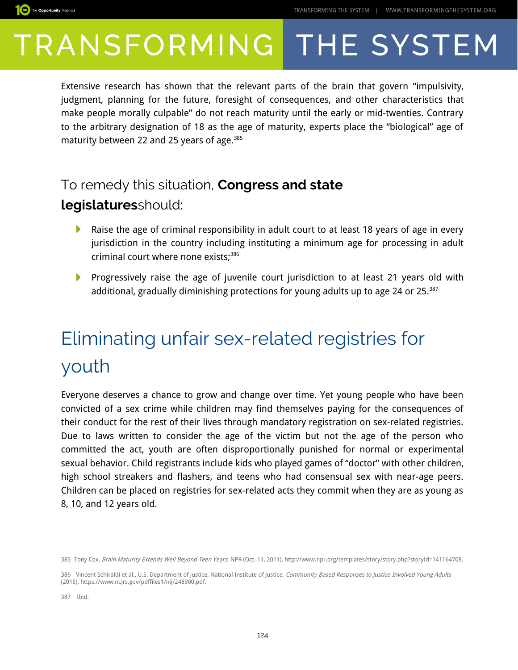

Extensive research has shown that the relevant parts of the brain that govern "impulsivity, judgment, planning for the future, foresight of consequences, and other characteristics that make people morally culpable" do not reach maturity until the early or mid-twenties. Contrary to the arbitrary designation of 18 as the age of maturity, experts place the "biological" age of maturity between 22 and 25 years of age.<sup>[385](#page-5-0)</sup>

#### To remedy this situation, **Congress and state**

#### **legislatures**should:

- Raise the age of criminal responsibility in adult court to at least 18 years of age in every ▶ jurisdiction in the country including instituting a minimum age for processing in adult criminal court where none exists;<sup>[386](#page-5-1)</sup>
- Progressively raise the age of juvenile court jurisdiction to at least 21 years old with additional, gradually diminishing protections for young adults up to age 24 or 25. $387$

### Eliminating unfair sex-related registries for youth

Everyone deserves a chance to grow and change over time. Yet young people who have been convicted of a sex crime while children may find themselves paying for the consequences of their conduct for the rest of their lives through mandatory registration on sex-related registries. Due to laws written to consider the age of the victim but not the age of the person who committed the act, youth are often disproportionally punished for normal or experimental sexual behavior. Child registrants include kids who played games of "doctor" with other children, high school streakers and flashers, and teens who had consensual sex with near-age peers. Children can be placed on registries for sex-related acts they commit when they are as young as 8, 10, and 12 years old.

<span id="page-5-2"></span>387 Ibid.

<span id="page-5-0"></span><sup>385</sup> Tony Cox, Brain Maturity Extends Well Beyond Teen Years, NPR (Oct. 11, 2011), http://www.npr.org/templates/story/story.php?storyId=141164708.

<span id="page-5-1"></span><sup>386</sup> Vincent Schiraldi et al., U.S. Department of Justice, National Institute of Justice, Community-Based Responses to Justice-Involved Young Adults (2015), https://www.ncjrs.gov/pdffiles1/nij/248900.pdf.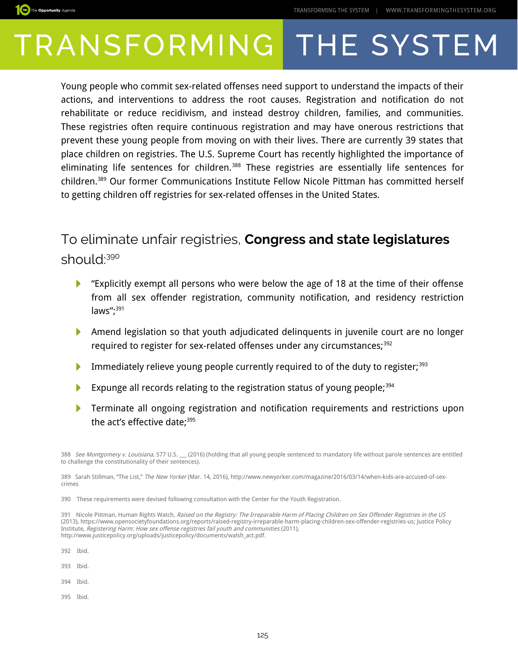

Young people who commit sex-related offenses need support to understand the impacts of their actions, and interventions to address the root causes. Registration and notification do not rehabilitate or reduce recidivism, and instead destroy children, families, and communities. These registries often require continuous registration and may have onerous restrictions that prevent these young people from moving on with their lives. There are currently 39 states that place children on registries. The U.S. Supreme Court has recently highlighted the importance of eliminating life sentences for children.<sup>[388](#page-6-0)</sup> These registries are essentially life sentences for children.[389](#page-6-1) Our former Communications Institute Fellow Nicole Pittman has committed herself to getting children off registries for sex-related offenses in the United States.

#### To eliminate unfair registries, **Congress and state legislatures**  should:<sup>[390](#page-6-2)</sup>

- "Explicitly exempt all persons who were below the age of 18 at the time of their offense ▶ from all sex offender registration, community notification, and residency restriction laws";<sup>[391](#page-6-3)</sup>
- Amend legislation so that youth adjudicated delinquents in juvenile court are no longer required to register for sex-related offenses under any circumstances;<sup>[392](#page-6-4)</sup>
- Immediately relieve young people currently required to of the duty to register;<sup>[393](#page-6-5)</sup> Þ
- Expunge all records relating to the registration status of young people;<sup>[394](#page-6-6)</sup> ▶
- ▶ Terminate all ongoing registration and notification requirements and restrictions upon the act's effective date;<sup>[395](#page-6-7)</sup>

<span id="page-6-4"></span>392 Ibid.

<span id="page-6-5"></span>393 Ibid.

<span id="page-6-6"></span>394 Ibid.

<span id="page-6-7"></span>395 Ibid.

<span id="page-6-0"></span><sup>388</sup> See Montgomery v. Louisiana, 577 U.S. \_\_ (2016) (holding that all young people sentenced to mandatory life without parole sentences are entitled to challenge the constitutionality of their sentences).

<span id="page-6-1"></span><sup>389</sup> Sarah Stillman, "The List," The New Yorker (Mar. 14, 2016), http://www.newyorker.com/magazine/2016/03/14/when-kids-are-accused-of-sexcrimes

<span id="page-6-2"></span><sup>390</sup> These requirements were devised following consultation with the Center for the Youth Registration.

<span id="page-6-3"></span><sup>391</sup> Nicole Pittman, Human Rights Watch, Raised on the Registry: The Irreparable Harm of Placing Children on Sex Offender Registries in the US (2013), https://www.opensocietyfoundations.org/reports/raised-registry-irreparable-harm-placing-children-sex-offender-registries-us; Justice Policy Institute, Registering Harm: How sex offense registries fail youth and communities (2011), http://www.justicepolicy.org/uploads/justicepolicy/documents/walsh\_act.pdf.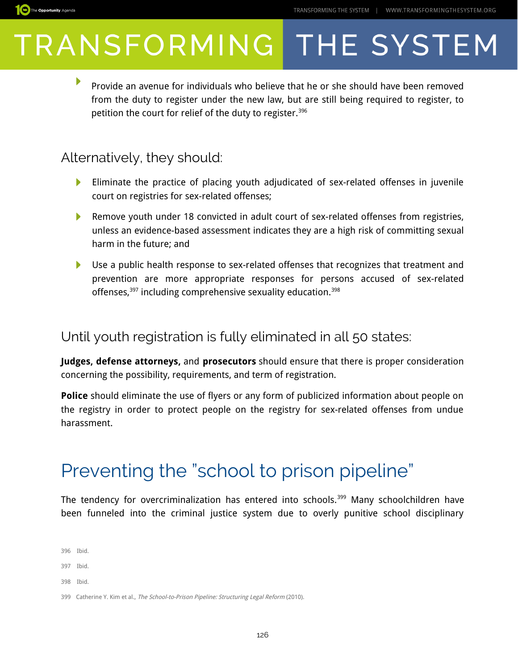

▶ Provide an avenue for individuals who believe that he or she should have been removed from the duty to register under the new law, but are still being required to register, to petition the court for relief of the duty to register.<sup>[396](#page-7-0)</sup>

#### Alternatively, they should:

- Eliminate the practice of placing youth adjudicated of sex-related offenses in juvenile ▶ court on registries for sex-related offenses;
- Remove youth under 18 convicted in adult court of sex-related offenses from registries, unless an evidence-based assessment indicates they are a high risk of committing sexual harm in the future; and
- Use a public health response to sex-related offenses that recognizes that treatment and prevention are more appropriate responses for persons accused of sex-related offenses,<sup>[397](#page-7-1)</sup> including comprehensive sexuality education.<sup>[398](#page-7-2)</sup>

#### Until youth registration is fully eliminated in all 50 states:

**Judges, defense attorneys,** and **prosecutors** should ensure that there is proper consideration concerning the possibility, requirements, and term of registration.

**Police** should eliminate the use of flyers or any form of publicized information about people on the registry in order to protect people on the registry for sex-related offenses from undue harassment.

### Preventing the "school to prison pipeline"

The tendency for overcriminalization has entered into schools.<sup>[399](#page-7-3)</sup> Many schoolchildren have been funneled into the criminal justice system due to overly punitive school disciplinary

<span id="page-7-0"></span>396 Ibid.

<span id="page-7-1"></span>397 Ibid.

<span id="page-7-2"></span>398 Ibid.

<span id="page-7-3"></span>399 Catherine Y. Kim et al., The School-to-Prison Pipeline: Structuring Legal Reform (2010).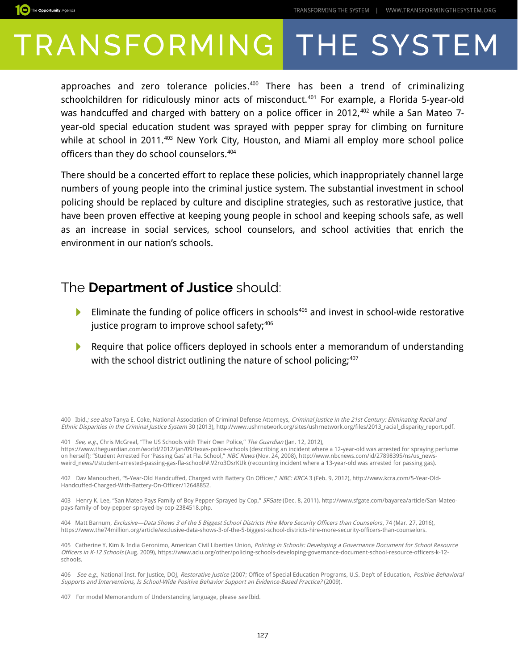

approaches and zero tolerance policies. [400](#page-8-0) There has been a trend of criminalizing schoolchildren for ridiculously minor acts of misconduct.<sup>[401](#page-8-1)</sup> For example, a Florida 5-year-old was handcuffed and charged with battery on a police officer in 2012,<sup>[402](#page-8-2)</sup> while a San Mateo 7year-old special education student was sprayed with pepper spray for climbing on furniture while at school in 2011.<sup>[403](#page-8-3)</sup> New York City, Houston, and Miami all employ more school police officers than they do school counselors.<sup>[404](#page-8-4)</sup>

There should be a concerted effort to replace these policies, which inappropriately channel large numbers of young people into the criminal justice system. The substantial investment in school policing should be replaced by culture and discipline strategies, such as restorative justice, that have been proven effective at keeping young people in school and keeping schools safe, as well as an increase in social services, school counselors, and school activities that enrich the environment in our nation's schools.

#### The **Department of Justice** should:

- Eliminate the funding of police officers in schools<sup>[405](#page-8-5)</sup> and invest in school-wide restorative justice program to improve school safety;<sup>[406](#page-8-6)</sup>
- Require that police officers deployed in schools enter a memorandum of understanding with the school district outlining the nature of school policing;<sup>[407](#page-8-7)</sup>

<span id="page-8-0"></span>400 Ibid.; see also Tanya E. Coke, National Association of Criminal Defense Attorneys, Criminal Justice in the 21st Century: Eliminating Racial and Ethnic Disparities in the Criminal Justice System 30 (2013), http://www.ushrnetwork.org/sites/ushrnetwork.org/files/2013\_racial\_disparity\_report.pdf.

<span id="page-8-1"></span>401 See, e.g., Chris McGreal, "The US Schools with Their Own Police," The Guardian (Jan. 12, 2012), https://www.theguardian.com/world/2012/jan/09/texas-police-schools (describing an incident where a 12-year-old was arrested for spraying perfume on herself); "Student Arrested For 'Passing Gas' at Fla. School," NBC News (Nov. 24, 2008), http://www.nbcnews.com/id/27898395/ns/us\_newsweird\_news/t/student-arrested-passing-gas-fla-school/#.V2ro3OsrKUk (recounting incident where a 13-year-old was arrested for passing gas).

<span id="page-8-2"></span>402 Dav Manoucheri, "5-Year-Old Handcuffed, Charged with Battery On Officer," NBC: KRCA 3 (Feb. 9, 2012), http://www.kcra.com/5-Year-Old-Handcuffed-Charged-With-Battery-On-Officer/12648852.

<span id="page-8-3"></span>403 Henry K. Lee, "San Mateo Pays Family of Boy Pepper-Sprayed by Cop," SFGate (Dec. 8, 2011), http://www.sfgate.com/bayarea/article/San-Mateopays-family-of-boy-pepper-sprayed-by-cop-2384518.php.

<span id="page-8-4"></span>404 Matt Barnum, Exclusive—Data Shows 3 of the 5 Biggest School Districts Hire More Security Officers than Counselors, 74 (Mar. 27, 2016). https://www.the74million.org/article/exclusive-data-shows-3-of-the-5-biggest-school-districts-hire-more-security-officers-than-counselors.

<span id="page-8-5"></span>405 Catherine Y. Kim & India Geronimo, American Civil Liberties Union, Policing in Schools: Developing a Governance Document for School Resource Officers in K-12 Schools (Aug. 2009), https://www.aclu.org/other/policing-schools-developing-governance-document-school-resource-officers-k-12 schools.

<span id="page-8-6"></span>406 See e.g., National Inst. for Justice, DOJ, Restorative Justice (2007; Office of Special Education Programs, U.S. Dep't of Education, Positive Behavioral Supports and Interventions, Is School-Wide Positive Behavior Support an Evidence-Based Practice? (2009).

<span id="page-8-7"></span>407 For model Memorandum of Understanding language, please see Ibid.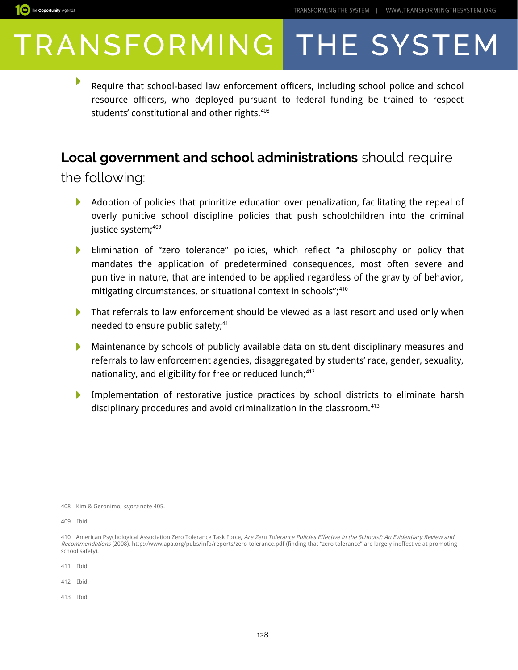

▶ Require that school-based law enforcement officers, including school police and school resource officers, who deployed pursuant to federal funding be trained to respect students' constitutional and other rights.<sup>[408](#page-9-0)</sup>

#### **Local government and school administrations** should require

the following:

- Adoption of policies that prioritize education over penalization, facilitating the repeal of И overly punitive school discipline policies that push schoolchildren into the criminal justice system;<sup>[409](#page-9-1)</sup>
- Elimination of "zero tolerance" policies, which reflect "a philosophy or policy that mandates the application of predetermined consequences, most often severe and punitive in nature, that are intended to be applied regardless of the gravity of behavior, mitigating circumstances, or situational context in schools",<sup>[410](#page-9-2)</sup>
- That referrals to law enforcement should be viewed as a last resort and used only when needed to ensure public safety;<sup>[411](#page-9-3)</sup>
- Maintenance by schools of publicly available data on student disciplinary measures and ▶ referrals to law enforcement agencies, disaggregated by students' race, gender, sexuality, nationality, and eligibility for free or reduced lunch;<sup>[412](#page-9-4)</sup>
- Implementation of restorative justice practices by school districts to eliminate harsh disciplinary procedures and avoid criminalization in the classroom.<sup>[413](#page-9-5)</sup>

- <span id="page-9-3"></span>411 Ibid.
- <span id="page-9-4"></span>412 Ibid.
- <span id="page-9-5"></span>413 Ibid.

<span id="page-9-0"></span><sup>408</sup> Kim & Geronimo, supra note 405.

<span id="page-9-1"></span><sup>409</sup> Ibid.

<span id="page-9-2"></span><sup>410</sup> American Psychological Association Zero Tolerance Task Force, Are Zero Tolerance Policies Effective in the Schools?: An Evidentiary Review and Recommendations (2008), http://www.apa.org/pubs/info/reports/zero-tolerance.pdf (finding that "zero tolerance" are largely ineffective at promoting school safety).